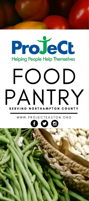# ProJeCt **Helping People Help Themselves** FOOD PANTRY SERVING NORTHAMPTON COUNTY

W W W . P R O J E C T E A S T O N . O R G